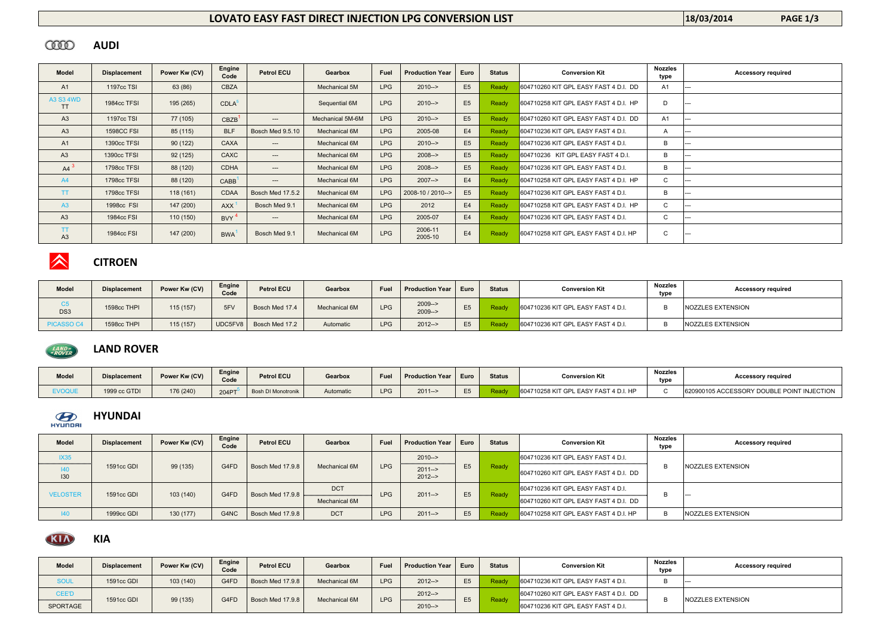#### COOO **AUDI**

| <b>Model</b>                  | <b>Displacement</b> | Power Kw (CV) | Engine<br>Code      | <b>Petrol ECU</b> | Gearbox          | Fuel       | <b>Production Year</b> | Euro           | <b>Status</b> | <b>Conversion Kit</b>                     | <b>Nozzles</b><br>type | <b>Accessory required</b> |
|-------------------------------|---------------------|---------------|---------------------|-------------------|------------------|------------|------------------------|----------------|---------------|-------------------------------------------|------------------------|---------------------------|
| A1                            | <b>1197cc TSI</b>   | 63 (86)       | <b>CBZA</b>         |                   | Mechanical 5M    | <b>LPG</b> | $2010--$               | E <sub>5</sub> | Ready         | 604710260 KIT GPL EASY FAST 4 D.I. DD     | A1                     |                           |
| <b>A3 S3 4WD</b><br><b>TT</b> | 1984cc TFSI         | 195 (265)     | CDLA <sup>5</sup>   |                   | Sequential 6M    | <b>LPG</b> | $2010--$               | E <sub>5</sub> | Ready         | 604710258 KIT GPL EASY FAST 4 D.I. HP     | D                      |                           |
| A <sub>3</sub>                | <b>1197cc TSI</b>   | 77 (105)      | $CBZB$ <sup>1</sup> | $---$             | Mechanical 5M-6M | <b>LPG</b> | $2010--$               | E <sub>5</sub> | Ready         | 604710260 KIT GPL EASY FAST 4 D.I. DD     | A1                     |                           |
| A <sub>3</sub>                | <b>1598CC FSI</b>   | 85 (115)      | <b>BLF</b>          | Bosch Med 9.5.10  | Mechanical 6M    | <b>LPG</b> | 2005-08                | E4             | Ready         | 604710236 KIT GPL EASY FAST 4 D.I.        | A                      |                           |
| A <sub>1</sub>                | 1390cc TFSI         | 90(122)       | CAXA                | $---$             | Mechanical 6M    | <b>LPG</b> | $2010--$               | E <sub>5</sub> | Ready         | 604710236 KIT GPL EASY FAST 4 D.I.        | B                      |                           |
| A <sub>3</sub>                | 1390cc TFSI         | 92(125)       | CAXC                | ---               | Mechanical 6M    | <b>LPG</b> | $2008--$               | E <sub>5</sub> | Ready         | 604710236 KIT GPL EASY FAST 4 D.I.        | B                      |                           |
| AA'                           | 1798cc TFSI         | 88 (120)      | <b>CDHA</b>         | $---$             | Mechanical 6M    | <b>LPG</b> | $2008--$               | E <sub>5</sub> | Ready         | 604710236 KIT GPL EASY FAST 4 D.I.        | B                      |                           |
| A4                            | 1798cc TFSI         | 88 (120)      | CABB <sup>1</sup>   | $---$             | Mechanical 6M    | <b>LPG</b> | $2007--$               | E4             | Ready         | 604710258 KIT GPL EASY FAST 4 D.I. HP     | $\mathsf{C}$           |                           |
| TT.                           | 1798cc TFSI         | 118(161)      | <b>CDAA</b>         | Bosch Med 17.5.2  | Mechanical 6M    | <b>LPG</b> | 2008-10 / 2010-->      | E <sub>5</sub> | Ready         | 604710236 KIT GPL EASY FAST 4 D.I.        | B                      |                           |
| A3                            | 1998cc FSI          | 147 (200)     | <b>AXX</b>          | Bosch Med 9.1     | Mechanical 6M    | <b>LPG</b> | 2012                   | E <sub>4</sub> | Ready         | 604710258 KIT GPL EASY FAST 4 D.I. HP     | $\mathsf{C}$           |                           |
| A <sub>3</sub>                | 1984cc FSI          | 110(150)      | BVY'                | $---$             | Mechanical 6M    | <b>LPG</b> | 2005-07                | E <sub>4</sub> | Ready         | <b>604710236 KIT GPL EASY FAST 4 D.I.</b> | $\mathsf{C}$           |                           |
| TT.<br>A <sub>3</sub>         | 1984cc FSI          | 147 (200)     | <b>BWA</b>          | Bosch Med 9.1     | Mechanical 6M    | <b>LPG</b> | 2006-11<br>2005-10     | E4             | Ready         | 604710258 KIT GPL EASY FAST 4 D.I. HP     | $\mathsf{C}$           |                           |

# $\blacktriangle$

**CITROEN** 

| <b>Model</b>          | <b>Displacement</b> | Power Kw (CV) | Engine<br>Code        | <b>Petrol ECU</b> | Gearbox       | Fuel       | Production Year L Euro |                | <b>Status</b> | <b>Conversion Kit</b>               | <b>Nozzles</b><br>type | <b>Accessory required</b> |
|-----------------------|---------------------|---------------|-----------------------|-------------------|---------------|------------|------------------------|----------------|---------------|-------------------------------------|------------------------|---------------------------|
| C <sub>5</sub><br>DS3 | 1598cc THPI         | 115 (157)     | F <sub>1</sub><br>IJΙ | Bosch Med 17.4    | Mechanical 6M | <b>LPG</b> | $2009--$<br>$2009--$   | E <sub>5</sub> |               | 604710236 KIT GPL EASY FAST 4 D.I.  |                        | <b>NOZZLES EXTENSION</b>  |
| PICASSO <sub>C4</sub> | 1598cc THPI         | 115(157)      | UDC5FV8               | Bosch Med 17.2    | Automatic     | <b>LPG</b> | $2012 - >$             | E <sub>5</sub> |               | 1604710236 KIT GPL EASY FAST 4 D.I. |                        | NOZZLES EXTENSION         |

#### $LAND = RONER$

### **LAND ROVER**

| <b>Model</b>  | <b>Displacement</b> | Power Kw (CV) | Engine<br>Code | <b>Petrol ECU</b>         | Gearbox   | Fuel       | <b>Production Year   Euro  </b> |                | <b>Status</b> | <b>Conversion Kit</b>                 | <b>Nozzles</b><br>type | Accessory required                         |
|---------------|---------------------|---------------|----------------|---------------------------|-----------|------------|---------------------------------|----------------|---------------|---------------------------------------|------------------------|--------------------------------------------|
| <b>EVOQUE</b> | 1999 cc GTDI        | 176 (240)     | 204PT          | <b>Bosh DI Monotronik</b> | Automatic | <b>LPG</b> | $2011--$                        | E <sub>5</sub> |               | 604710258 KIT GPL EASY FAST 4 D.I. HP |                        | 620900105 ACCESSORY DOUBLE POINT INJECTION |



#### **HYUNDAI**



| <b>Model</b>    | <b>Displacement</b> | Power Kw (CV) | Engine<br>Code | <b>Petrol ECU</b> | Gearbox       | Fuel       | <b>Production Year</b> | Euro           | <b>Status</b> | <b>Conversion Kit</b>                     | Nozzles<br>type | <b>Accessory required</b> |  |
|-----------------|---------------------|---------------|----------------|-------------------|---------------|------------|------------------------|----------------|---------------|-------------------------------------------|-----------------|---------------------------|--|
| <b>IX35</b>     |                     |               |                |                   |               |            | $2010--$               |                |               | <b>604710236 KIT GPL EASY FAST 4 D.I.</b> |                 |                           |  |
| 140<br>130      | 1591cc GDI          | 99 (135)      | G4FD           | Bosch Med 17.9.8  | Mechanical 6M | <b>LPG</b> | $2011--$<br>$2012--$   | E <sub>5</sub> | Ready         | 604710260 KIT GPL EASY FAST 4 D.I. DD     | B               | <b>NOZZLES EXTENSION</b>  |  |
| <b>VELOSTER</b> | 1591cc GDI          | 103(140)      | G4FD           | Bosch Med 17.9.8  | <b>DCT</b>    | <b>LPG</b> | $2011--$               | E <sub>5</sub> | Ready         | <b>604710236 KIT GPL EASY FAST 4 D.I.</b> |                 | ---                       |  |
|                 |                     |               |                |                   | Mechanical 6M |            |                        |                |               | 604710260 KIT GPL EASY FAST 4 D.I. DD     |                 |                           |  |
| 40              | 1999cc GDI          | 130(177)      | G4NC           | Bosch Med 17.9.8  | <b>DCT</b>    | <b>LPG</b> | $2011--$               | E <sub>5</sub> | Ready         | 604710258 KIT GPL EASY FAST 4 D.I. HP     | B               | NOZZLES EXTENSION         |  |

| <b>Model</b>  | <b>Displacement</b> | Power Kw (CV) | Engine<br>Code    | <b>Petrol ECU</b> | Gearbox       | Fuel       | <b>Production Year  </b> | Euro           | <b>Status</b> | <b>Conversion Kit</b>                 | <b>Nozzles</b><br>type | <b>Accessory required</b> |
|---------------|---------------------|---------------|-------------------|-------------------|---------------|------------|--------------------------|----------------|---------------|---------------------------------------|------------------------|---------------------------|
| <b>SOUL</b>   | 1591cc GDI          | 103(140)      | G <sub>4F</sub>   | Bosch Med 17.9.8  | Mechanical 6M | <b>LPG</b> | $2012--$                 | E <sub>5</sub> |               | 604710236 KIT GPL EASY FAST 4 D.I.    |                        | $---$                     |
| <b>CEE'D</b>  | 1591cc GDI          | 99 (135)      | G <sub>4</sub> FL | Bosch Med 17.9.8  | Mechanical 6M | <b>LPG</b> | $2012--$                 | <b>E5</b>      | Ready         | 604710260 KIT GPL EASY FAST 4 D.I. DD |                        | NOZZLES EXTENSION         |
| .<br>SPORTAGE |                     |               |                   |                   |               |            | $2010--$                 |                |               | 604710236 KIT GPL EASY FAST 4 D.I.    |                        |                           |

### **LOVATO EASY FAST DIRECT INJECTION LPG CONVERSION LIST**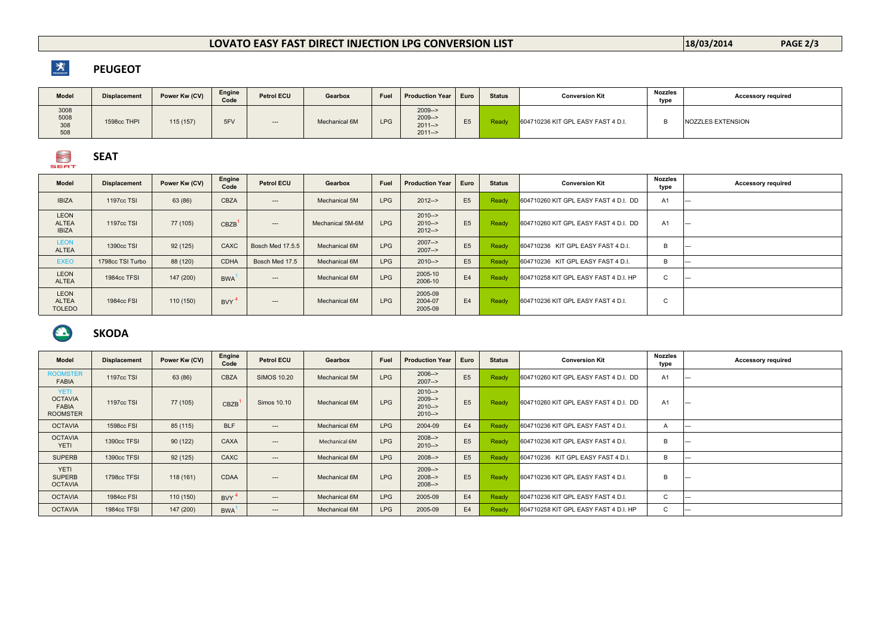## **PEUGEOT**

| <b>Model</b>               | <b>Displacement</b> | Power Kw (CV) | <b>Engine</b><br>Code | <b>Petrol ECU</b> | Gearbox       | Fuel       | <b>Production Year  </b>                     | Euro        | <b>Status</b> | <b>Conversion Kit</b>              | <b>Nozzles</b><br>type | <b>Accessory required</b> |
|----------------------------|---------------------|---------------|-----------------------|-------------------|---------------|------------|----------------------------------------------|-------------|---------------|------------------------------------|------------------------|---------------------------|
| 3008<br>5008<br>308<br>508 | 1598cc THPI         | 115(157)      | 5FV                   | $---$             | Mechanical 6M | <b>LPG</b> | $2009--$<br>$2009--$<br>$2011--$<br>$2011--$ | $- -$<br>E5 | <b>Ready</b>  | 604710236 KIT GPL EASY FAST 4 D.I. |                        | NOZZLES EXTENSION         |



| <b>Model</b>                                 | <b>Displacement</b> | Power Kw (CV) | Engine<br>Code | <b>Petrol ECU</b> | Gearbox          | Fuel       | <b>Production Year</b>           | Euro           | <b>Status</b> | <b>Conversion Kit</b>                 | Nozzles<br>type | <b>Accessory required</b> |
|----------------------------------------------|---------------------|---------------|----------------|-------------------|------------------|------------|----------------------------------|----------------|---------------|---------------------------------------|-----------------|---------------------------|
| <b>IBIZA</b>                                 | <b>1197cc TSI</b>   | 63 (86)       | <b>CBZA</b>    | $---$             | Mechanical 5M    | <b>LPG</b> | $2012--$                         | E <sub>5</sub> | Ready         | 604710260 KIT GPL EASY FAST 4 D.I. DD | A1              |                           |
| <b>LEON</b><br><b>ALTEA</b><br><b>IBIZA</b>  | <b>1197cc TSI</b>   | 77 (105)      | C B Z B        | $---$             | Mechanical 5M-6M | <b>LPG</b> | $2010--$<br>$2010--$<br>$2012--$ | E <sub>5</sub> | Ready         | 604710260 KIT GPL EASY FAST 4 D.I. DD | A1              | $---$                     |
| <b>LEON</b><br><b>ALTEA</b>                  | 1390cc TSI          | 92(125)       | CAXC           | Bosch Med 17.5.5  | Mechanical 6M    | <b>LPG</b> | $2007--$<br>$2007--$             | E <sub>5</sub> | Ready         | 604710236 KIT GPL EASY FAST 4 D.I.    | B               |                           |
| <b>EXEO</b>                                  | 1798cc TSI Turbo    | 88 (120)      | <b>CDHA</b>    | Bosch Med 17.5    | Mechanical 6M    | <b>LPG</b> | $2010--$                         | E <sub>5</sub> | Ready         | 604710236 KIT GPL EASY FAST 4 D.I.    | B               |                           |
| <b>LEON</b><br><b>ALTEA</b>                  | 1984cc TFSI         | 147 (200)     | <b>BWA</b>     | $---$             | Mechanical 6M    | <b>LPG</b> | 2005-10<br>2006-10               | E <sub>4</sub> | Ready         | 604710258 KIT GPL EASY FAST 4 D.I. HP | $\sim$<br>◡     | $---$                     |
| <b>LEON</b><br><b>ALTEA</b><br><b>TOLEDO</b> | 1984cc FSI          | 110(150)      | $BVY^4$        | $---$             | Mechanical 6M    | <b>LPG</b> | 2005-09<br>2004-07<br>2005-09    | E4             | Ready         | 604710236 KIT GPL EASY FAST 4 D.I.    | $\sim$<br>◡     |                           |

# **SKODA**

 $\epsilon$ 

| <b>Model</b>                                                     | <b>Displacement</b> | Power Kw (CV) | Engine<br>Code | <b>Petrol ECU</b>  | <b>Gearbox</b> | <b>Fuel</b> | <b>Production Year</b>                       | Euro           | <b>Status</b> | <b>Conversion Kit</b>                 | Nozzles<br>type | <b>Accessory required</b> |
|------------------------------------------------------------------|---------------------|---------------|----------------|--------------------|----------------|-------------|----------------------------------------------|----------------|---------------|---------------------------------------|-----------------|---------------------------|
| <b>ROOMSTER</b><br><b>FABIA</b>                                  | <b>1197cc TSI</b>   | 63 (86)       | <b>CBZA</b>    | <b>SIMOS 10.20</b> | Mechanical 5M  | <b>LPG</b>  | $2006--$<br>$2007--$                         | E <sub>5</sub> | Ready         | 604710260 KIT GPL EASY FAST 4 D.I. DD | A1              |                           |
| <b>YETI</b><br><b>OCTAVIA</b><br><b>FABIA</b><br><b>ROOMSTER</b> | 1197cc TSI          | 77 (105)      | CBZB           | Simos 10.10        | Mechanical 6M  | <b>LPG</b>  | $2010--$<br>$2009--$<br>$2010--$<br>$2010--$ | E <sub>5</sub> | Ready         | 604710260 KIT GPL EASY FAST 4 D.I. DD | A <sub>1</sub>  | ---                       |
| <b>OCTAVIA</b>                                                   | 1598cc FSI          | 85 (115)      | <b>BLF</b>     | ---                | Mechanical 6M  | <b>LPG</b>  | 2004-09                                      | E <sub>4</sub> | Ready         | 604710236 KIT GPL EASY FAST 4 D.I.    | A               |                           |
| <b>OCTAVIA</b><br><b>YETI</b>                                    | 1390cc TFSI         | 90(122)       | CAXA           | ---                | Mechanical 6M  | <b>LPG</b>  | $2008--$<br>$2010--$                         | E <sub>5</sub> | Ready         | 604710236 KIT GPL EASY FAST 4 D.I.    | B               | ---                       |
| <b>SUPERB</b>                                                    | 1390cc TFSI         | 92(125)       | CAXC           | $---$              | Mechanical 6M  | <b>LPG</b>  | $2008--$                                     | E <sub>5</sub> | Ready         | 604710236 KIT GPL EASY FAST 4 D.I.    | B               |                           |
| <b>YETI</b><br><b>SUPERB</b><br><b>OCTAVIA</b>                   | 1798cc TFSI         | 118(161)      | <b>CDAA</b>    | ---                | Mechanical 6M  | <b>LPG</b>  | $2009--$<br>$2008--$<br>$2008--$             | E <sub>5</sub> | Ready         | 604710236 KIT GPL EASY FAST 4 D.I.    | B               |                           |
| <b>OCTAVIA</b>                                                   | 1984cc FSI          | 110 (150)     | $BVY^4$        | ---                | Mechanical 6M  | LPG         | 2005-09                                      | E <sub>4</sub> | Ready         | 604710236 KIT GPL EASY FAST 4 D.I.    | C               |                           |
| <b>OCTAVIA</b>                                                   | 1984cc TFSI         | 147 (200)     | <b>BWA</b>     | ---                | Mechanical 6M  | <b>LPG</b>  | 2005-09                                      | E <sub>4</sub> | Ready         | 604710258 KIT GPL EASY FAST 4 D.I. HP | C               |                           |

 $\sum_{\text{peuger}}$ 

#### **LOVATO EASY FAST DIRECT INJECTION LPG CONVERSION LIST**